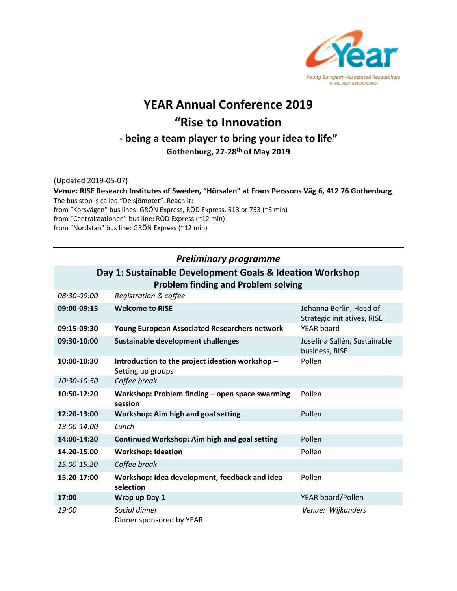

# **YEAR Annual Conference 2019 "Rise to Innovation - being a team player to bring your idea to life"**

**Gothenburg, 27-28th of May 2019**

(Updated 2019-05-07)

**Venue: RISE Research Institutes of Sweden, "Hörsalen" at Frans Perssons Väg 6, 412 76 Gothenburg**  The bus stop is called "Delsjömotet". Reach it: from "Korsvägen" bus lines: GRÖN Express, RÖD Express, 513 or 753 (~5 min) from "Centralstationen" bus line: RÖD Express (~12 min) from "Nordstan" bus line: GRÖN Express (~12 min)

### *Preliminary programme*

### **Day 1: Sustainable Development Goals & Ideation Workshop Problem finding and Problem solving**

| 08:30-09:00 | Registration & coffee                                                |                                                        |
|-------------|----------------------------------------------------------------------|--------------------------------------------------------|
| 09:00-09:15 | <b>Welcome to RISE</b>                                               | Johanna Berlin, Head of<br>Strategic initiatives, RISE |
| 09:15-09:30 | <b>Young European Associated Researchers network</b>                 | YEAR board                                             |
| 09:30-10:00 | Sustainable development challenges                                   | Josefina Sallén, Sustainable<br>business, RISE         |
| 10:00-10:30 | Introduction to the project ideation workshop -<br>Setting up groups | Pollen                                                 |
| 10:30-10:50 | Coffee break                                                         |                                                        |
| 10:50-12:20 | Workshop: Problem finding - open space swarming<br>session           | Pollen                                                 |
| 12:20-13:00 | Workshop: Aim high and goal setting                                  | Pollen                                                 |
| 13:00-14:00 | Lunch                                                                |                                                        |
| 14:00-14:20 | <b>Continued Workshop: Aim high and goal setting</b>                 | Pollen                                                 |
| 14.20-15.00 | <b>Workshop: Ideation</b>                                            | Pollen                                                 |
| 15.00-15.20 | Coffee break                                                         |                                                        |
| 15.20-17:00 | Workshop: Idea development, feedback and idea<br>selection           | Pollen                                                 |
| 17:00       | Wrap up Day 1                                                        | YEAR board/Pollen                                      |
| 19:00       | Social dinner<br>Dinner sponsored by YEAR                            | Venue: Wijkanders                                      |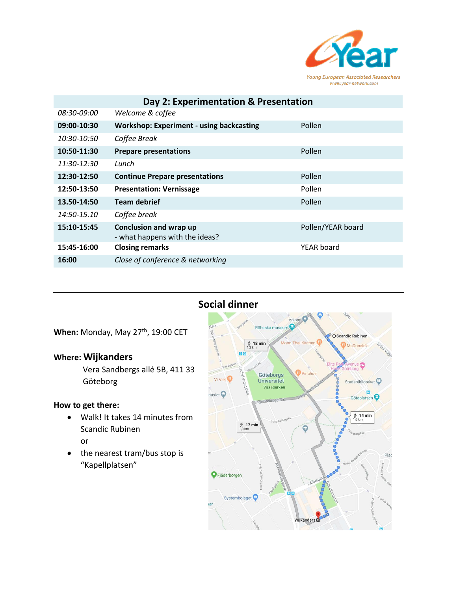

| Day 2: Experimentation & Presentation |                                                                 |                   |  |
|---------------------------------------|-----------------------------------------------------------------|-------------------|--|
| <i>08:30-09:00</i>                    | Welcome & coffee                                                |                   |  |
| 09:00-10:30                           | <b>Workshop: Experiment - using backcasting</b>                 | Pollen            |  |
| 10:30-10:50                           | Coffee Break                                                    |                   |  |
| 10:50-11:30                           | <b>Prepare presentations</b>                                    | Pollen            |  |
| $11:30-12:30$                         | Lunch                                                           |                   |  |
| 12:30-12:50                           | <b>Continue Prepare presentations</b>                           | Pollen            |  |
| 12:50-13:50                           | <b>Presentation: Vernissage</b>                                 | Pollen            |  |
| 13.50-14:50                           | <b>Team debrief</b>                                             | Pollen            |  |
| $14:50-15.10$                         | Coffee break                                                    |                   |  |
| 15:10-15:45                           | <b>Conclusion and wrap up</b><br>- what happens with the ideas? | Pollen/YEAR board |  |
| 15:45-16:00                           | <b>Closing remarks</b>                                          | YEAR board        |  |
| 16:00                                 | Close of conference & networking                                |                   |  |

# **Social dinner**

When: Monday, May 27<sup>th</sup>, 19:00 CET

## **Where: Wijkanders**

Vera Sandbergs allé 5B, 411 33 Göteborg

#### **How to get there:**

- Walk! It takes 14 minutes from Scandic Rubinen or
- the nearest tram/bus stop is "Kapellplatsen"